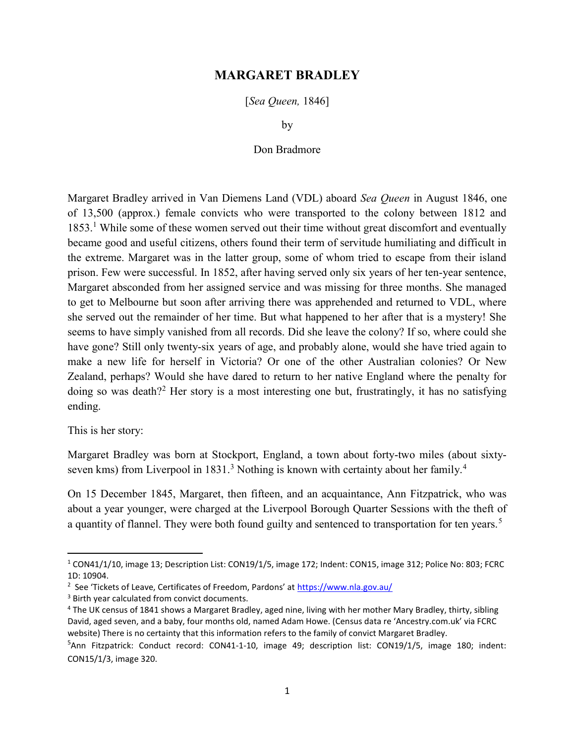## MARGARET BRADLEY

[Sea Queen, 1846]

by

## Don Bradmore

Margaret Bradley arrived in Van Diemens Land (VDL) aboard Sea Queen in August 1846, one of 13,500 (approx.) female convicts who were transported to the colony between 1812 and 1853.<sup>1</sup> While some of these women served out their time without great discomfort and eventually became good and useful citizens, others found their term of servitude humiliating and difficult in the extreme. Margaret was in the latter group, some of whom tried to escape from their island prison. Few were successful. In 1852, after having served only six years of her ten-year sentence, Margaret absconded from her assigned service and was missing for three months. She managed to get to Melbourne but soon after arriving there was apprehended and returned to VDL, where she served out the remainder of her time. But what happened to her after that is a mystery! She seems to have simply vanished from all records. Did she leave the colony? If so, where could she have gone? Still only twenty-six years of age, and probably alone, would she have tried again to make a new life for herself in Victoria? Or one of the other Australian colonies? Or New Zealand, perhaps? Would she have dared to return to her native England where the penalty for doing so was death?<sup>2</sup> Her story is a most interesting one but, frustratingly, it has no satisfying ending.

This is her story:

Margaret Bradley was born at Stockport, England, a town about forty-two miles (about sixtyseven kms) from Liverpool in  $1831<sup>3</sup>$  Nothing is known with certainty about her family.<sup>4</sup>

On 15 December 1845, Margaret, then fifteen, and an acquaintance, Ann Fitzpatrick, who was about a year younger, were charged at the Liverpool Borough Quarter Sessions with the theft of a quantity of flannel. They were both found guilty and sentenced to transportation for ten years.<sup>5</sup>

<sup>&</sup>lt;sup>1</sup> CON41/1/10, image 13; Description List: CON19/1/5, image 172; Indent: CON15, image 312; Police No: 803; FCRC 1D: 10904.

<sup>&</sup>lt;sup>2</sup> See 'Tickets of Leave, Certificates of Freedom, Pardons' at https://www.nla.gov.au/

<sup>&</sup>lt;sup>3</sup> Birth year calculated from convict documents.

<sup>&</sup>lt;sup>4</sup> The UK census of 1841 shows a Margaret Bradley, aged nine, living with her mother Mary Bradley, thirty, sibling David, aged seven, and a baby, four months old, named Adam Howe. (Census data re 'Ancestry.com.uk' via FCRC website) There is no certainty that this information refers to the family of convict Margaret Bradley.

<sup>&</sup>lt;sup>5</sup>Ann Fitzpatrick: Conduct record: CON41-1-10, image 49; description list: CON19/1/5, image 180; indent: CON15/1/3, image 320.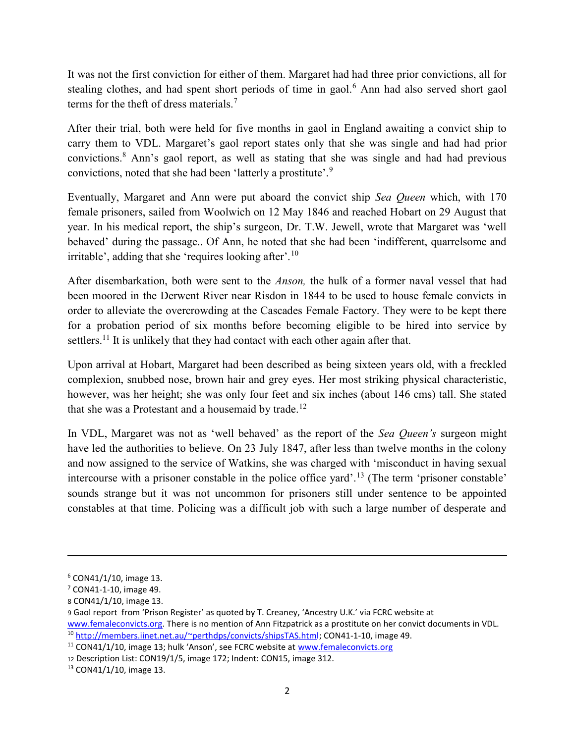It was not the first conviction for either of them. Margaret had had three prior convictions, all for stealing clothes, and had spent short periods of time in gaol.<sup>6</sup> Ann had also served short gaol terms for the theft of dress materials.<sup>7</sup>

After their trial, both were held for five months in gaol in England awaiting a convict ship to carry them to VDL. Margaret's gaol report states only that she was single and had had prior convictions.<sup>8</sup> Ann's gaol report, as well as stating that she was single and had had previous convictions, noted that she had been 'latterly a prostitute'.<sup>9</sup>

Eventually, Margaret and Ann were put aboard the convict ship Sea Queen which, with 170 female prisoners, sailed from Woolwich on 12 May 1846 and reached Hobart on 29 August that year. In his medical report, the ship's surgeon, Dr. T.W. Jewell, wrote that Margaret was 'well behaved' during the passage.. Of Ann, he noted that she had been 'indifferent, quarrelsome and irritable', adding that she 'requires looking after'.<sup>10</sup>

After disembarkation, both were sent to the Anson, the hulk of a former naval vessel that had been moored in the Derwent River near Risdon in 1844 to be used to house female convicts in order to alleviate the overcrowding at the Cascades Female Factory. They were to be kept there for a probation period of six months before becoming eligible to be hired into service by settlers.<sup>11</sup> It is unlikely that they had contact with each other again after that.

Upon arrival at Hobart, Margaret had been described as being sixteen years old, with a freckled complexion, snubbed nose, brown hair and grey eyes. Her most striking physical characteristic, however, was her height; she was only four feet and six inches (about 146 cms) tall. She stated that she was a Protestant and a housemaid by trade.<sup>12</sup>

In VDL, Margaret was not as 'well behaved' as the report of the *Sea Queen's* surgeon might have led the authorities to believe. On 23 July 1847, after less than twelve months in the colony and now assigned to the service of Watkins, she was charged with 'misconduct in having sexual intercourse with a prisoner constable in the police office yard'.<sup>13</sup> (The term 'prisoner constable' sounds strange but it was not uncommon for prisoners still under sentence to be appointed constables at that time. Policing was a difficult job with such a large number of desperate and

<sup>6</sup> CON41/1/10, image 13.

<sup>7</sup> CON41-1-10, image 49.

<sup>8</sup> CON41/1/10, image 13.

<sup>9</sup> Gaol report from 'Prison Register' as quoted by T. Creaney, 'Ancestry U.K.' via FCRC website at www.femaleconvicts.org. There is no mention of Ann Fitzpatrick as a prostitute on her convict documents in VDL. <sup>10</sup> http://members.iinet.net.au/~perthdps/convicts/shipsTAS.html; CON41-1-10, image 49.

<sup>&</sup>lt;sup>11</sup> CON41/1/10, image 13; hulk 'Anson', see FCRC website at www.femaleconvicts.org

<sup>12</sup> Description List: CON19/1/5, image 172; Indent: CON15, image 312.

<sup>13</sup> CON41/1/10, image 13.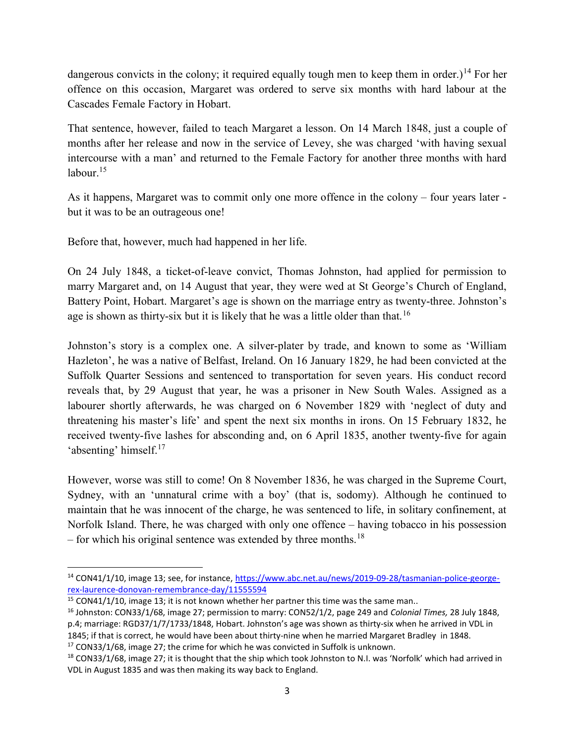dangerous convicts in the colony; it required equally tough men to keep them in order.)<sup>14</sup> For her offence on this occasion, Margaret was ordered to serve six months with hard labour at the Cascades Female Factory in Hobart.

That sentence, however, failed to teach Margaret a lesson. On 14 March 1848, just a couple of months after her release and now in the service of Levey, she was charged 'with having sexual intercourse with a man' and returned to the Female Factory for another three months with hard labour. $15$ 

As it happens, Margaret was to commit only one more offence in the colony – four years later but it was to be an outrageous one!

Before that, however, much had happened in her life.

On 24 July 1848, a ticket-of-leave convict, Thomas Johnston, had applied for permission to marry Margaret and, on 14 August that year, they were wed at St George's Church of England, Battery Point, Hobart. Margaret's age is shown on the marriage entry as twenty-three. Johnston's age is shown as thirty-six but it is likely that he was a little older than that.<sup>16</sup>

Johnston's story is a complex one. A silver-plater by trade, and known to some as 'William Hazleton', he was a native of Belfast, Ireland. On 16 January 1829, he had been convicted at the Suffolk Quarter Sessions and sentenced to transportation for seven years. His conduct record reveals that, by 29 August that year, he was a prisoner in New South Wales. Assigned as a labourer shortly afterwards, he was charged on 6 November 1829 with 'neglect of duty and threatening his master's life' and spent the next six months in irons. On 15 February 1832, he received twenty-five lashes for absconding and, on 6 April 1835, another twenty-five for again 'absenting' himself.<sup>17</sup>

However, worse was still to come! On 8 November 1836, he was charged in the Supreme Court, Sydney, with an 'unnatural crime with a boy' (that is, sodomy). Although he continued to maintain that he was innocent of the charge, he was sentenced to life, in solitary confinement, at Norfolk Island. There, he was charged with only one offence – having tobacco in his possession – for which his original sentence was extended by three months.<sup>18</sup>

 $\overline{a}$ 

<sup>&</sup>lt;sup>14</sup> CON41/1/10, image 13; see, for instance, https://www.abc.net.au/news/2019-09-28/tasmanian-police-georgerex-laurence-donovan-remembrance-day/11555594

 $15$  CON41/1/10, image 13; it is not known whether her partner this time was the same man..

<sup>&</sup>lt;sup>16</sup> Johnston: CON33/1/68, image 27; permission to marry: CON52/1/2, page 249 and Colonial Times, 28 July 1848, p.4; marriage: RGD37/1/7/1733/1848, Hobart. Johnston's age was shown as thirty-six when he arrived in VDL in 1845; if that is correct, he would have been about thirty-nine when he married Margaret Bradley in 1848.  $17$  CON33/1/68, image 27; the crime for which he was convicted in Suffolk is unknown.

 $18$  CON33/1/68, image 27; it is thought that the ship which took Johnston to N.I. was 'Norfolk' which had arrived in VDL in August 1835 and was then making its way back to England.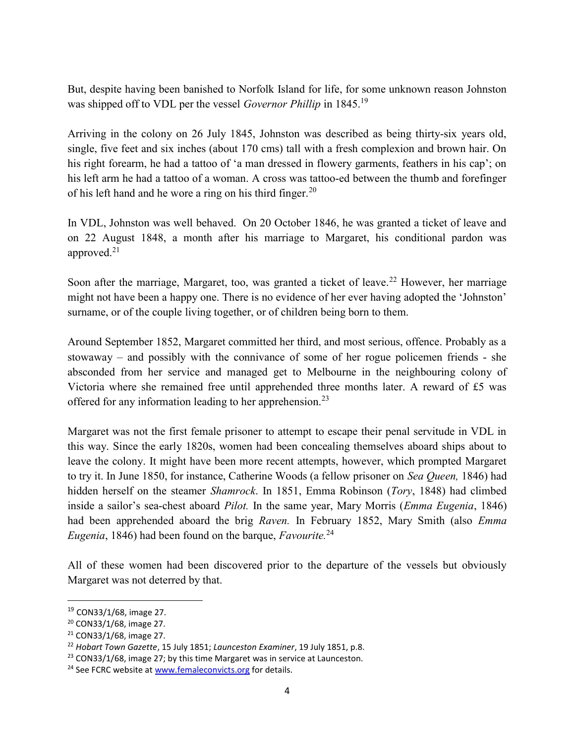But, despite having been banished to Norfolk Island for life, for some unknown reason Johnston was shipped off to VDL per the vessel Governor Phillip in 1845.<sup>19</sup>

Arriving in the colony on 26 July 1845, Johnston was described as being thirty-six years old, single, five feet and six inches (about 170 cms) tall with a fresh complexion and brown hair. On his right forearm, he had a tattoo of 'a man dressed in flowery garments, feathers in his cap'; on his left arm he had a tattoo of a woman. A cross was tattoo-ed between the thumb and forefinger of his left hand and he wore a ring on his third finger.<sup>20</sup>

In VDL, Johnston was well behaved. On 20 October 1846, he was granted a ticket of leave and on 22 August 1848, a month after his marriage to Margaret, his conditional pardon was approved. $21$ 

Soon after the marriage, Margaret, too, was granted a ticket of leave.<sup>22</sup> However, her marriage might not have been a happy one. There is no evidence of her ever having adopted the 'Johnston' surname, or of the couple living together, or of children being born to them.

Around September 1852, Margaret committed her third, and most serious, offence. Probably as a stowaway – and possibly with the connivance of some of her rogue policemen friends - she absconded from her service and managed get to Melbourne in the neighbouring colony of Victoria where she remained free until apprehended three months later. A reward of £5 was offered for any information leading to her apprehension.<sup>23</sup>

Margaret was not the first female prisoner to attempt to escape their penal servitude in VDL in this way. Since the early 1820s, women had been concealing themselves aboard ships about to leave the colony. It might have been more recent attempts, however, which prompted Margaret to try it. In June 1850, for instance, Catherine Woods (a fellow prisoner on Sea Queen, 1846) had hidden herself on the steamer *Shamrock*. In 1851, Emma Robinson (*Tory*, 1848) had climbed inside a sailor's sea-chest aboard Pilot. In the same year, Mary Morris (Emma Eugenia, 1846) had been apprehended aboard the brig Raven. In February 1852, Mary Smith (also Emma Eugenia, 1846) had been found on the barque, Favourite.<sup>24</sup>

All of these women had been discovered prior to the departure of the vessels but obviously Margaret was not deterred by that.

<sup>19</sup> CON33/1/68, image 27.

<sup>20</sup> CON33/1/68, image 27.

<sup>21</sup> CON33/1/68, image 27.

<sup>&</sup>lt;sup>22</sup> Hobart Town Gazette, 15 July 1851; Launceston Examiner, 19 July 1851, p.8.

 $23$  CON33/1/68, image 27; by this time Margaret was in service at Launceston.

<sup>&</sup>lt;sup>24</sup> See FCRC website at www.femaleconvicts.org for details.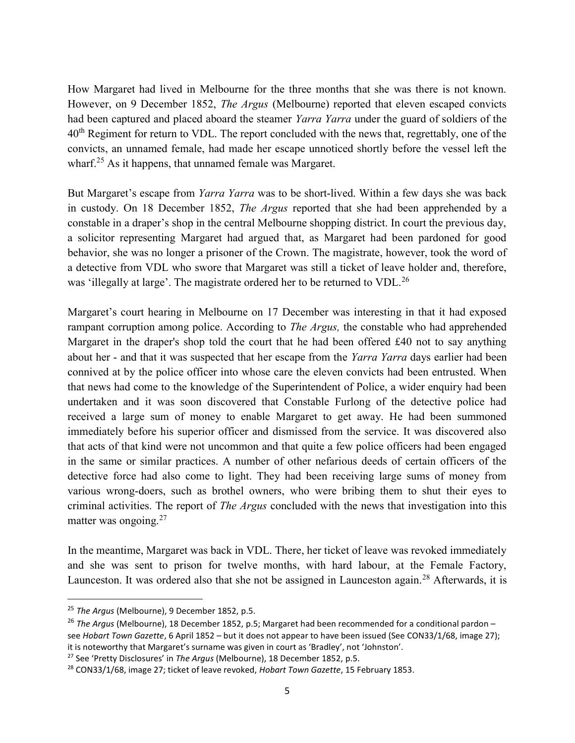How Margaret had lived in Melbourne for the three months that she was there is not known. However, on 9 December 1852, *The Argus* (Melbourne) reported that eleven escaped convicts had been captured and placed aboard the steamer Yarra Yarra under the guard of soldiers of the  $40<sup>th</sup>$  Regiment for return to VDL. The report concluded with the news that, regrettably, one of the convicts, an unnamed female, had made her escape unnoticed shortly before the vessel left the wharf.<sup>25</sup> As it happens, that unnamed female was Margaret.

But Margaret's escape from *Yarra Yarra* was to be short-lived. Within a few days she was back in custody. On 18 December 1852, The Argus reported that she had been apprehended by a constable in a draper's shop in the central Melbourne shopping district. In court the previous day, a solicitor representing Margaret had argued that, as Margaret had been pardoned for good behavior, she was no longer a prisoner of the Crown. The magistrate, however, took the word of a detective from VDL who swore that Margaret was still a ticket of leave holder and, therefore, was 'illegally at large'. The magistrate ordered her to be returned to VDL.<sup>26</sup>

Margaret's court hearing in Melbourne on 17 December was interesting in that it had exposed rampant corruption among police. According to *The Argus*, the constable who had apprehended Margaret in the draper's shop told the court that he had been offered £40 not to say anything about her - and that it was suspected that her escape from the Yarra Yarra days earlier had been connived at by the police officer into whose care the eleven convicts had been entrusted. When that news had come to the knowledge of the Superintendent of Police, a wider enquiry had been undertaken and it was soon discovered that Constable Furlong of the detective police had received a large sum of money to enable Margaret to get away. He had been summoned immediately before his superior officer and dismissed from the service. It was discovered also that acts of that kind were not uncommon and that quite a few police officers had been engaged in the same or similar practices. A number of other nefarious deeds of certain officers of the detective force had also come to light. They had been receiving large sums of money from various wrong-doers, such as brothel owners, who were bribing them to shut their eyes to criminal activities. The report of *The Argus* concluded with the news that investigation into this matter was ongoing. $27$ 

In the meantime, Margaret was back in VDL. There, her ticket of leave was revoked immediately and she was sent to prison for twelve months, with hard labour, at the Female Factory, Launceston. It was ordered also that she not be assigned in Launceston again.<sup>28</sup> Afterwards, it is

 $\overline{a}$ 

 $25$  The Argus (Melbourne), 9 December 1852, p.5.

<sup>&</sup>lt;sup>26</sup> The Argus (Melbourne), 18 December 1852, p.5; Margaret had been recommended for a conditional pardon see Hobart Town Gazette, 6 April 1852 – but it does not appear to have been issued (See CON33/1/68, image 27); it is noteworthy that Margaret's surname was given in court as 'Bradley', not 'Johnston'.

<sup>&</sup>lt;sup>27</sup> See 'Pretty Disclosures' in The Argus (Melbourne), 18 December 1852, p.5.

<sup>&</sup>lt;sup>28</sup> CON33/1/68, image 27; ticket of leave revoked, Hobart Town Gazette, 15 February 1853.